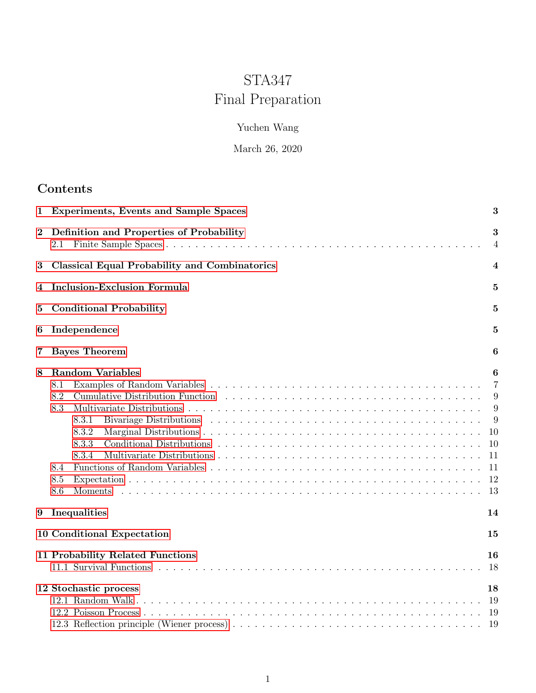# STA347 Final Preparation

# Yuchen Wang

# March 26, 2020

# Contents

| 1        | <b>Experiments, Events and Sample Spaces</b>                                                                                                                                                                                                                                                                                                              | 3                                                                       |
|----------|-----------------------------------------------------------------------------------------------------------------------------------------------------------------------------------------------------------------------------------------------------------------------------------------------------------------------------------------------------------|-------------------------------------------------------------------------|
| $\bf{2}$ | Definition and Properties of Probability<br>2.1                                                                                                                                                                                                                                                                                                           | 3<br>$\overline{4}$                                                     |
| 3        | <b>Classical Equal Probability and Combinatorics</b>                                                                                                                                                                                                                                                                                                      | 4                                                                       |
| 4        | Inclusion-Exclusion Formula                                                                                                                                                                                                                                                                                                                               | 5                                                                       |
| 5        | <b>Conditional Probability</b>                                                                                                                                                                                                                                                                                                                            | 5                                                                       |
| 6        | Independence                                                                                                                                                                                                                                                                                                                                              | 5                                                                       |
| 7        | <b>Bayes Theorem</b>                                                                                                                                                                                                                                                                                                                                      | 6                                                                       |
| 8        | <b>Random Variables</b><br>8.1<br>8.2<br>8.3<br>Bivariage Distributions (a) and a contract the contract of the contract of the contract of the contract of the contract of the contract of the contract of the contract of the contract of the contract of the contract of the<br>8.3.1<br>8.3.2<br>8.3.3<br>8.3.4<br>8.4<br>8.5<br>8.6<br><b>Moments</b> | 6<br>$\overline{7}$<br>9<br>9<br>9<br>-10<br>10<br>11<br>11<br>12<br>13 |
| 9        | Inequalities                                                                                                                                                                                                                                                                                                                                              | 14                                                                      |
|          | 10 Conditional Expectation                                                                                                                                                                                                                                                                                                                                | 15                                                                      |
|          | 11 Probability Related Functions                                                                                                                                                                                                                                                                                                                          | 16<br>18                                                                |
|          | 12 Stochastic process                                                                                                                                                                                                                                                                                                                                     | 18<br>19<br>19<br>-19                                                   |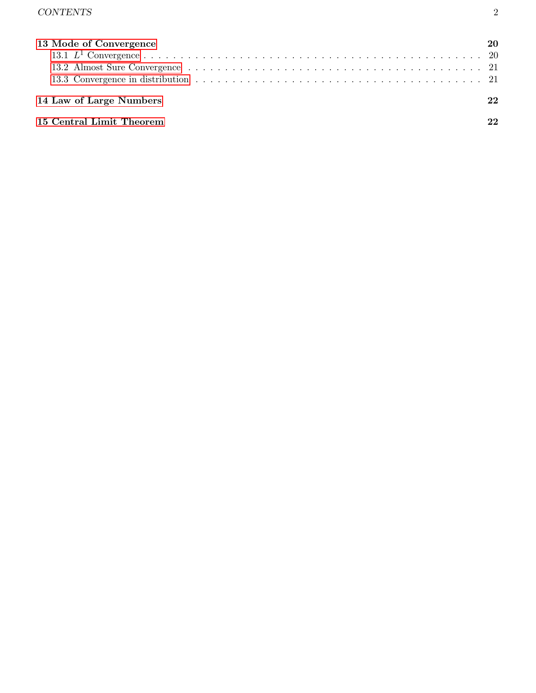| 13 Mode of Convergence   |    |  |
|--------------------------|----|--|
|                          |    |  |
|                          |    |  |
|                          |    |  |
| 14 Law of Large Numbers  | 22 |  |
| 15 Central Limit Theorem |    |  |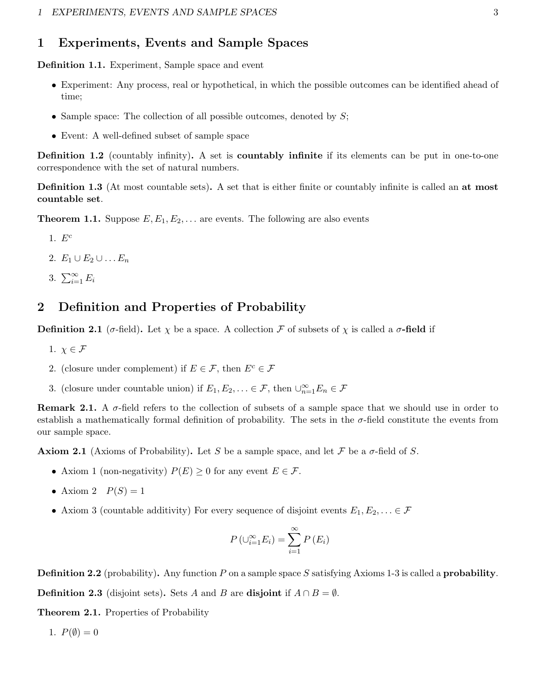# <span id="page-2-0"></span>1 Experiments, Events and Sample Spaces

Definition 1.1. Experiment, Sample space and event

- Experiment: Any process, real or hypothetical, in which the possible outcomes can be identified ahead of time;
- Sample space: The collection of all possible outcomes, denoted by  $S$ ;
- Event: A well-defined subset of sample space

Definition 1.2 (countably infinity). A set is **countably infinite** if its elements can be put in one-to-one correspondence with the set of natural numbers.

Definition 1.3 (At most countable sets). A set that is either finite or countably infinite is called an at most countable set.

**Theorem 1.1.** Suppose  $E, E_1, E_2, \ldots$  are events. The following are also events

- 1.  $E^c$
- 2.  $E_1 \cup E_2 \cup \ldots E_n$
- 3.  $\sum_{i=1}^{\infty} E_i$

# <span id="page-2-1"></span>2 Definition and Properties of Probability

**Definition 2.1** (σ-field). Let  $\chi$  be a space. A collection  $\mathcal F$  of subsets of  $\chi$  is called a  $\sigma$ -field if

- 1.  $\chi \in \mathcal{F}$
- 2. (closure under complement) if  $E \in \mathcal{F}$ , then  $E^c \in \mathcal{F}$
- 3. (closure under countable union) if  $E_1, E_2, \ldots \in \mathcal{F}$ , then  $\cup_{n=1}^{\infty} E_n \in \mathcal{F}$

**Remark 2.1.** A  $\sigma$ -field refers to the collection of subsets of a sample space that we should use in order to establish a mathematically formal definition of probability. The sets in the  $\sigma$ -field constitute the events from our sample space.

**Axiom 2.1** (Axioms of Probability). Let S be a sample space, and let F be a  $\sigma$ -field of S.

- Axiom 1 (non-negativity)  $P(E) \geq 0$  for any event  $E \in \mathcal{F}$ .
- Axiom 2  $P(S) = 1$
- Axiom 3 (countable additivity) For every sequence of disjoint events  $E_1, E_2, \ldots \in \mathcal{F}$

$$
P\left(\cup_{i=1}^{\infty} E_i\right) = \sum_{i=1}^{\infty} P\left(E_i\right)
$$

**Definition 2.2** (probability). Any function P on a sample space S satisfying Axioms 1-3 is called a **probability**.

**Definition 2.3** (disjoint sets). Sets A and B are disjoint if  $A \cap B = \emptyset$ .

Theorem 2.1. Properties of Probability

1.  $P(\emptyset) = 0$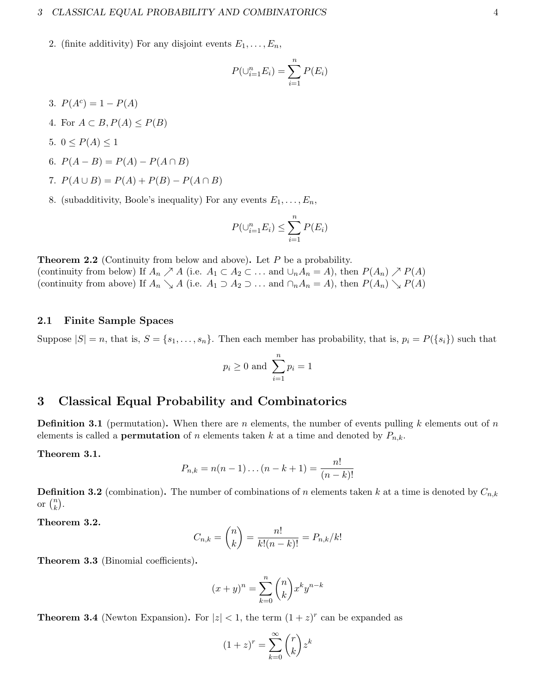### 3 CLASSICAL EQUAL PROBABILITY AND COMBINATORICS 4

2. (finite additivity) For any disjoint events  $E_1, \ldots, E_n$ ,

$$
P(\cup_{i=1}^n E_i) = \sum_{i=1}^n P(E_i)
$$

- 3.  $P(A^c) = 1 P(A)$
- 4. For  $A \subset B$ ,  $P(A) \leq P(B)$
- 5.  $0 \leq P(A) \leq 1$
- 6.  $P(A B) = P(A) P(A \cap B)$
- 7.  $P(A \cup B) = P(A) + P(B) P(A \cap B)$
- 8. (subadditivity, Boole's inequality) For any events  $E_1, \ldots, E_n$ ,

$$
P(\cup_{i=1}^n E_i) \le \sum_{i=1}^n P(E_i)
$$

**Theorem 2.2** (Continuity from below and above). Let  $P$  be a probability. (continuity from below) If  $A_n \nearrow A$  (i.e.  $A_1 \subset A_2 \subset \dots$  and  $\cup_n A_n = A$ ), then  $P(A_n) \nearrow P(A)$ (continuity from above) If  $A_n \searrow A$  (i.e.  $A_1 \supset A_2 \supset \ldots$  and  $\bigcap_n A_n = A$ ), then  $P(A_n) \searrow P(A)$ 

### <span id="page-3-0"></span>2.1 Finite Sample Spaces

Suppose  $|S| = n$ , that is,  $S = \{s_1, \ldots, s_n\}$ . Then each member has probability, that is,  $p_i = P(\{s_i\})$  such that

$$
p_i \ge 0 \text{ and } \sum_{i=1}^n p_i = 1
$$

# <span id="page-3-1"></span>3 Classical Equal Probability and Combinatorics

**Definition 3.1** (permutation). When there are n elements, the number of events pulling k elements out of n elements is called a **permutation** of n elements taken k at a time and denoted by  $P_{n,k}$ .

### Theorem 3.1.

$$
P_{n,k} = n(n-1)\dots(n-k+1) = \frac{n!}{(n-k)!}
$$

**Definition 3.2** (combination). The number of combinations of n elements taken k at a time is denoted by  $C_{n,k}$ or  $\binom{n}{k}$  $\binom{n}{k}$ .

Theorem 3.2.

$$
C_{n,k} = {n \choose k} = \frac{n!}{k!(n-k)!} = P_{n,k}/k!
$$

Theorem 3.3 (Binomial coefficients).

$$
(x+y)^n = \sum_{k=0}^n \binom{n}{k} x^k y^{n-k}
$$

**Theorem 3.4** (Newton Expansion). For  $|z| < 1$ , the term  $(1 + z)^r$  can be expanded as

$$
(1+z)^r = \sum_{k=0}^{\infty} \binom{r}{k} z^k
$$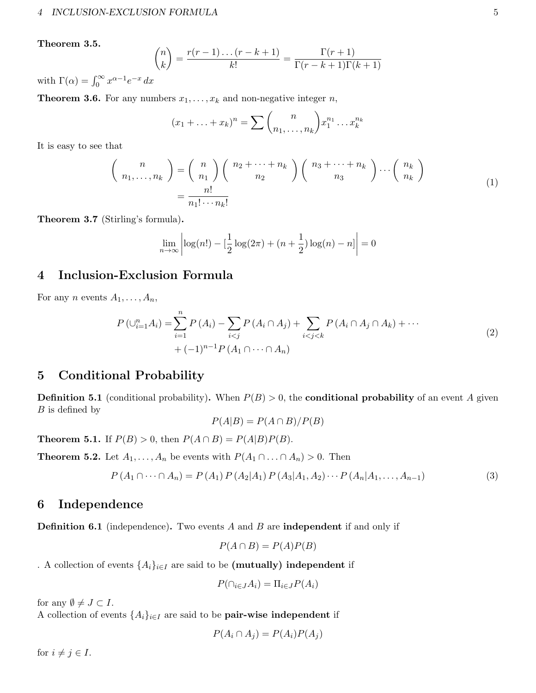# Theorem 3.5.

$$
\binom{n}{k} = \frac{r(r-1)\dots(r-k+1)}{k!} = \frac{\Gamma(r+1)}{\Gamma(r-k+1)\Gamma(k+1)}
$$

with  $\Gamma(\alpha) = \int_0^\infty x^{\alpha-1} e^{-x} dx$ 

**Theorem 3.6.** For any numbers  $x_1, \ldots, x_k$  and non-negative integer n,

$$
(x_1 + \ldots + x_k)^n = \sum {n \choose n_1, \ldots, n_k} x_1^{n_1} \ldots x_k^{n_k}
$$

It is easy to see that

$$
\begin{pmatrix} n \\ n_1, \dots, n_k \end{pmatrix} = \begin{pmatrix} n \\ n_1 \end{pmatrix} \begin{pmatrix} n_2 + \dots + n_k \\ n_2 \end{pmatrix} \begin{pmatrix} n_3 + \dots + n_k \\ n_3 \end{pmatrix} \cdots \begin{pmatrix} n_k \\ n_k \end{pmatrix}
$$

$$
= \frac{n!}{n_1! \cdots n_k!}
$$
 (1)

Theorem 3.7 (Stirling's formula).

$$
\lim_{n \to \infty} \left| \log(n!) - \left[ \frac{1}{2} \log(2\pi) + (n + \frac{1}{2}) \log(n) - n \right] \right| = 0
$$

# <span id="page-4-0"></span>4 Inclusion-Exclusion Formula

For any *n* events  $A_1, \ldots, A_n$ ,

$$
P(\bigcup_{i=1}^{n} A_i) = \sum_{i=1}^{n} P(A_i) - \sum_{i < j} P(A_i \cap A_j) + \sum_{i < j < k} P(A_i \cap A_j \cap A_k) + \cdots
$$
\n
$$
+ (-1)^{n-1} P(A_1 \cap \cdots \cap A_n) \tag{2}
$$

# <span id="page-4-1"></span>5 Conditional Probability

**Definition 5.1** (conditional probability). When  $P(B) > 0$ , the **conditional probability** of an event A given  $B$  is defined by

$$
P(A|B) = P(A \cap B)/P(B)
$$

**Theorem 5.1.** If  $P(B) > 0$ , then  $P(A \cap B) = P(A|B)P(B)$ .

**Theorem 5.2.** Let  $A_1, \ldots, A_n$  be events with  $P(A_1 \cap \ldots \cap A_n) > 0$ . Then

$$
P(A_1 \cap \dots \cap A_n) = P(A_1) P(A_2 | A_1) P(A_3 | A_1, A_2) \cdots P(A_n | A_1, \dots, A_{n-1})
$$
\n(3)

# <span id="page-4-2"></span>6 Independence

**Definition 6.1** (independence). Two events A and B are **independent** if and only if

$$
P(A \cap B) = P(A)P(B)
$$

. A collection of events  $\{A_i\}_{i\in I}$  are said to be (mutually) independent if

$$
P(\cap_{i \in J} A_i) = \Pi_{i \in J} P(A_i)
$$

for any  $\emptyset \neq J \subset I$ .

A collection of events  $\{A_i\}_{i\in I}$  are said to be **pair-wise independent** if

$$
P(A_i \cap A_j) = P(A_i)P(A_j)
$$

for  $i \neq j \in I$ .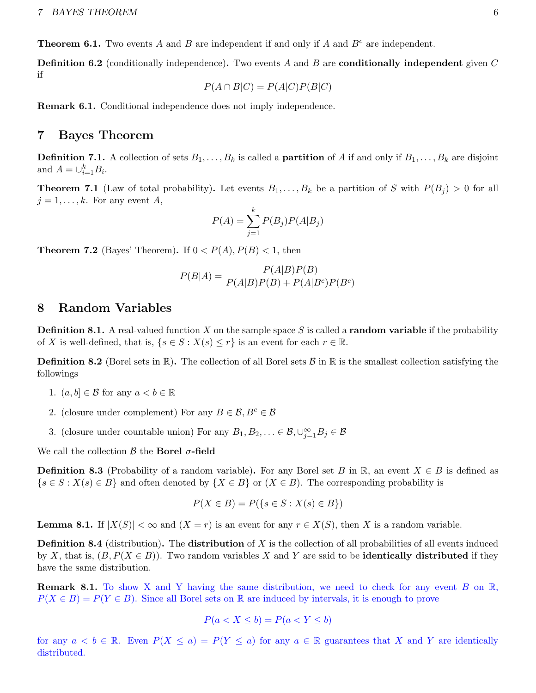**Theorem 6.1.** Two events A and B are independent if and only if A and  $B<sup>c</sup>$  are independent.

**Definition 6.2** (conditionally independence). Two events A and B are **conditionally independent** given C if

$$
P(A \cap B|C) = P(A|C)P(B|C)
$$

Remark 6.1. Conditional independence does not imply independence.

# <span id="page-5-0"></span>7 Bayes Theorem

**Definition 7.1.** A collection of sets  $B_1, \ldots, B_k$  is called a **partition** of A if and only if  $B_1, \ldots, B_k$  are disjoint and  $A = \bigcup_{i=1}^{k} B_i$ .

**Theorem 7.1** (Law of total probability). Let events  $B_1, \ldots, B_k$  be a partition of S with  $P(B_i) > 0$  for all  $j = 1, \ldots, k$ . For any event A,

$$
P(A) = \sum_{j=1}^{k} P(B_j) P(A|B_j)
$$

**Theorem 7.2** (Bayes' Theorem). If  $0 < P(A)$ ,  $P(B) < 1$ , then

$$
P(B|A) = \frac{P(A|B)P(B)}{P(A|B)P(B) + P(A|B^c)P(B^c)}
$$

# <span id="page-5-1"></span>8 Random Variables

**Definition 8.1.** A real-valued function X on the sample space S is called a **random variable** if the probability of X is well-defined, that is,  $\{s \in S : X(s) \leq r\}$  is an event for each  $r \in \mathbb{R}$ .

**Definition 8.2** (Borel sets in  $\mathbb{R}$ ). The collection of all Borel sets  $\mathcal{B}$  in  $\mathbb{R}$  is the smallest collection satisfying the followings

- 1.  $(a, b] \in \mathcal{B}$  for any  $a < b \in \mathbb{R}$
- 2. (closure under complement) For any  $B \in \mathcal{B}, B^c \in \mathcal{B}$
- 3. (closure under countable union) For any  $B_1, B_2, \ldots \in \mathcal{B}, \bigcup_{j=1}^{\infty} B_j \in \mathcal{B}$

We call the collection  $\beta$  the Borel  $\sigma$ -field

**Definition 8.3** (Probability of a random variable). For any Borel set B in R, an event  $X \in B$  is defined as  $\{s \in S : X(s) \in B\}$  and often denoted by  $\{X \in B\}$  or  $(X \in B)$ . The corresponding probability is

$$
P(X \in B) = P({s \in S : X(s) \in B})
$$

**Lemma 8.1.** If  $|X(S)| < \infty$  and  $(X = r)$  is an event for any  $r \in X(S)$ , then X is a random variable.

**Definition 8.4** (distribution). The **distribution** of  $X$  is the collection of all probabilities of all events induced by X, that is,  $(B, P(X \in B))$ . Two random variables X and Y are said to be **identically distributed** if they have the same distribution.

**Remark 8.1.** To show X and Y having the same distribution, we need to check for any event B on  $\mathbb{R}$ ,  $P(X \in B) = P(Y \in B)$ . Since all Borel sets on R are induced by intervals, it is enough to prove

$$
P(a < X \le b) = P(a < Y \le b)
$$

for any  $a < b \in \mathbb{R}$ . Even  $P(X \le a) = P(Y \le a)$  for any  $a \in \mathbb{R}$  guarantees that X and Y are identically distributed.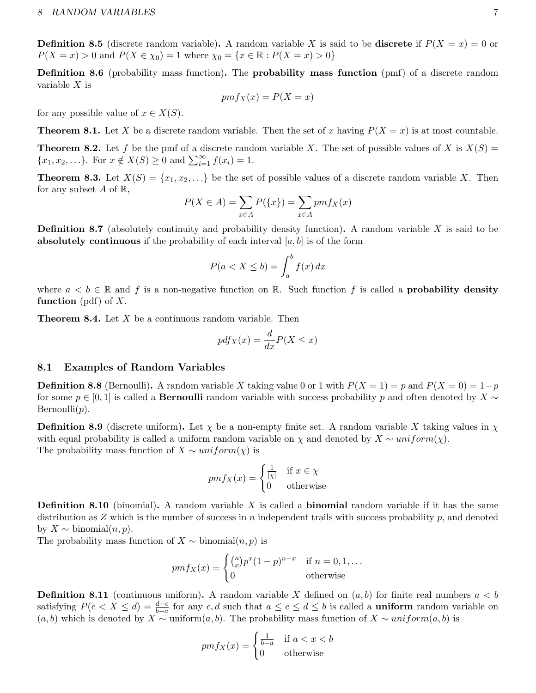**Definition 8.5** (discrete random variable). A random variable X is said to be discrete if  $P(X = x) = 0$  or  $P(X = x) > 0$  and  $P(X \in \chi_0) = 1$  where  $\chi_0 = \{x \in \mathbb{R} : P(X = x) > 0\}$ 

Definition 8.6 (probability mass function). The probability mass function (pmf) of a discrete random variable  $X$  is

$$
pmf_X(x) = P(X = x)
$$

for any possible value of  $x \in X(S)$ .

**Theorem 8.1.** Let X be a discrete random variable. Then the set of x having  $P(X = x)$  is at most countable.

**Theorem 8.2.** Let f be the pmf of a discrete random variable X. The set of possible values of X is  $X(S)$  =  $\{x_1, x_2, ...\}$ . For  $x \notin X(S) \ge 0$  and  $\sum_{i=1}^{\infty} f(x_i) = 1$ .

**Theorem 8.3.** Let  $X(S) = \{x_1, x_2, ...\}$  be the set of possible values of a discrete random variable X. Then for any subset A of  $\mathbb{R}$ ,

$$
P(X \in A) = \sum_{x \in A} P(\{x\}) = \sum_{x \in A} pmf_X(x)
$$

**Definition 8.7** (absolutely continuity and probability density function). A random variable X is said to be absolutely continuous if the probability of each interval  $[a, b]$  is of the form

$$
P(a < X \le b) = \int_{a}^{b} f(x) \, dx
$$

where  $a < b \in \mathbb{R}$  and f is a non-negative function on R. Such function f is called a **probability density** function (pdf) of  $X$ .

**Theorem 8.4.** Let  $X$  be a continuous random variable. Then

$$
pdf_X(x) = \frac{d}{dx}P(X \le x)
$$

### <span id="page-6-0"></span>8.1 Examples of Random Variables

**Definition 8.8** (Bernoulli). A random variable X taking value 0 or 1 with  $P(X = 1) = p$  and  $P(X = 0) = 1-p$ for some  $p \in [0,1]$  is called a **Bernoulli** random variable with success probability p and often denoted by  $X \sim$  $Bernoulli(p)$ .

**Definition 8.9** (discrete uniform). Let  $\chi$  be a non-empty finite set. A random variable X taking values in  $\chi$ with equal probability is called a uniform random variable on  $\chi$  and denoted by  $X \sim uniform(\chi)$ . The probability mass function of  $X \sim uniform(\chi)$  is

$$
pmf_X(x) = \begin{cases} \frac{1}{|x|} & \text{if } x \in \chi \\ 0 & \text{otherwise} \end{cases}
$$

**Definition 8.10** (binomial). A random variable X is called a **binomial** random variable if it has the same distribution as  $Z$  which is the number of success in n independent trails with success probability  $p$ , and denoted by  $X \sim \text{binomial}(n, p)$ .

The probability mass function of  $X \sim binomial(n, p)$  is

$$
pmf_X(x) = \begin{cases} {n \choose x} p^x (1-p)^{n-x} & \text{if } n = 0, 1, \dots \\ 0 & \text{otherwise} \end{cases}
$$

**Definition 8.11** (continuous uniform). A random variable X defined on  $(a, b)$  for finite real numbers  $a < b$ satisfying  $P(c < X \le d) = \frac{d-c}{b-a}$  for any c, d such that  $a \le c \le d \le b$  is called a **uniform** random variable on  $(a, b)$  which is denoted by X ∼ uniform $(a, b)$ . The probability mass function of X ∼ uniform $(a, b)$  is

$$
pmf_X(x) = \begin{cases} \frac{1}{b-a} & \text{if } a < x < b \\ 0 & \text{otherwise} \end{cases}
$$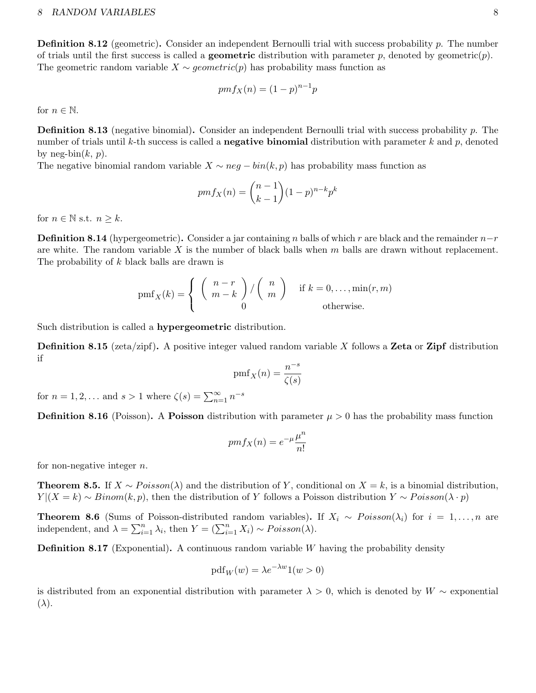**Definition 8.12** (geometric). Consider an independent Bernoulli trial with success probability  $p$ . The number of trials until the first success is called a **geometric** distribution with parameter p, denoted by geometric $(p)$ . The geometric random variable  $X \sim geometric(p)$  has probability mass function as

$$
pmf_X(n) = (1 - p)^{n-1}p
$$

for  $n \in \mathbb{N}$ .

Definition 8.13 (negative binomial). Consider an independent Bernoulli trial with success probability p. The number of trials until k-th success is called a **negative binomial** distribution with parameter k and p, denoted by neg-bin $(k, p)$ .

The negative binomial random variable  $X \sim neg - bin(k, p)$  has probability mass function as

$$
pmf_X(n) = {n-1 \choose k-1} (1-p)^{n-k} p^k
$$

for  $n \in \mathbb{N}$  s.t.  $n \geq k$ .

**Definition 8.14** (hypergeometric). Consider a jar containing n balls of which r are black and the remainder  $n-r$ are white. The random variable  $X$  is the number of black balls when  $m$  balls are drawn without replacement. The probability of k black balls are drawn is

$$
pmf_X(k) = \begin{cases} {n-r \choose m-k} / {n \choose m} & \text{if } k = 0, ..., \min(r, m) \\ 0 & \text{otherwise.} \end{cases}
$$

Such distribution is called a hypergeometric distribution.

**Definition 8.15** (zeta/zipf). A positive integer valued random variable X follows a **Zeta** or **Zipf** distribution if

$$
\operatorname{pmf}_{X}(n) = \frac{n^{-s}}{\zeta(s)}
$$

for  $n = 1, 2, ...$  and  $s > 1$  where  $\zeta(s) = \sum_{n=1}^{\infty} n^{-s}$ 

**Definition 8.16** (Poisson). A **Poisson** distribution with parameter  $\mu > 0$  has the probability mass function

$$
pmf_X(n) = e^{-\mu} \frac{\mu^n}{n!}
$$

for non-negative integer  $n$ .

**Theorem 8.5.** If  $X \sim Poisson(\lambda)$  and the distribution of Y, conditional on  $X = k$ , is a binomial distribution,  $Y | (X = k) \sim Binom(k, p)$ , then the distribution of Y follows a Poisson distribution  $Y \sim Poisson(\lambda \cdot p)$ 

**Theorem 8.6** (Sums of Poisson-distributed random variables). If  $X_i \sim Poisson(\lambda_i)$  for  $i = 1, ..., n$  are independent, and  $\lambda = \sum_{i=1}^{n} \lambda_i$ , then  $Y = (\sum_{i=1}^{n} X_i) \sim Poisson(\lambda)$ .

**Definition 8.17** (Exponential). A continuous random variable W having the probability density

$$
\text{pdf}_W(w) = \lambda e^{-\lambda w} 1(w > 0)
$$

is distributed from an exponential distribution with parameter  $\lambda > 0$ , which is denoted by  $W \sim$  exponential  $(\lambda).$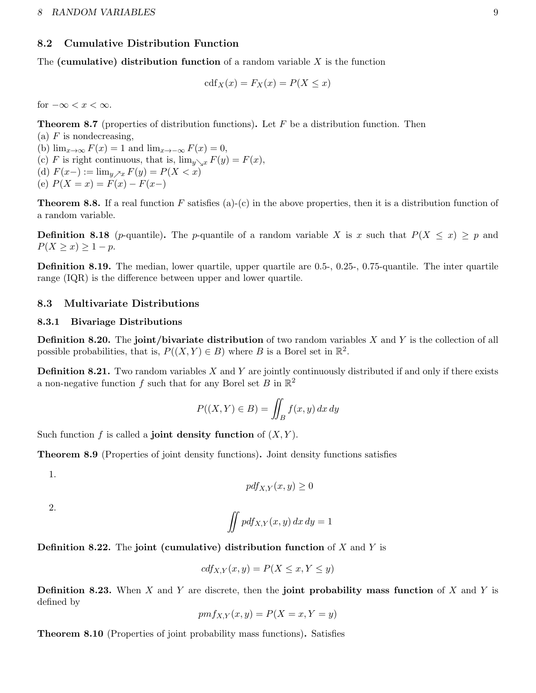# <span id="page-8-0"></span>8.2 Cumulative Distribution Function

The (cumulative) distribution function of a random variable  $X$  is the function

$$
cdf_X(x) = F_X(x) = P(X \le x)
$$

for  $-\infty < x < \infty$ .

**Theorem 8.7** (properties of distribution functions). Let  $F$  be a distribution function. Then

(a)  $F$  is nondecreasing, (b)  $\lim_{x\to\infty} F(x) = 1$  and  $\lim_{x\to-\infty} F(x) = 0$ , (c) F is right continuous, that is,  $\lim_{y\searrow x} F(y) = F(x)$ , (d)  $F(x-) := \lim_{y \nearrow x} F(y) = P(X < x)$ (e)  $P(X = x) = F(x) - F(x-)$ 

**Theorem 8.8.** If a real function F satisfies (a)-(c) in the above properties, then it is a distribution function of a random variable.

**Definition 8.18** (p-quantile). The p-quantile of a random variable X is x such that  $P(X \leq x) \geq p$  and  $P(X \geq x) \geq 1 - p$ .

Definition 8.19. The median, lower quartile, upper quartile are 0.5-, 0.25-, 0.75-quantile. The inter quartile range (IQR) is the difference between upper and lower quartile.

# <span id="page-8-1"></span>8.3 Multivariate Distributions

# <span id="page-8-2"></span>8.3.1 Bivariage Distributions

**Definition 8.20.** The **joint**/bivariate distribution of two random variables  $X$  and  $Y$  is the collection of all possible probabilities, that is,  $P((X, Y) \in B)$  where B is a Borel set in  $\mathbb{R}^2$ .

**Definition 8.21.** Two random variables  $X$  and  $Y$  are jointly continuously distributed if and only if there exists a non-negative function  $f$  such that for any Borel set  $B$  in  $\mathbb{R}^2$ 

$$
P((X,Y) \in B) = \iint_B f(x,y) \, dx \, dy
$$

Such function f is called a joint density function of  $(X, Y)$ .

Theorem 8.9 (Properties of joint density functions). Joint density functions satisfies

1.

$$
pdf_{X,Y}(x,y) \ge 0
$$

2.

$$
\iint pdf_{X,Y}(x,y) dx dy = 1
$$

**Definition 8.22.** The joint (cumulative) distribution function of  $X$  and  $Y$  is

$$
cdf_{X,Y}(x,y) = P(X \le x, Y \le y)
$$

**Definition 8.23.** When X and Y are discrete, then the **joint probability mass function** of X and Y is defined by

$$
pmf_{X,Y}(x,y) = P(X=x, Y=y)
$$

Theorem 8.10 (Properties of joint probability mass functions). Satisfies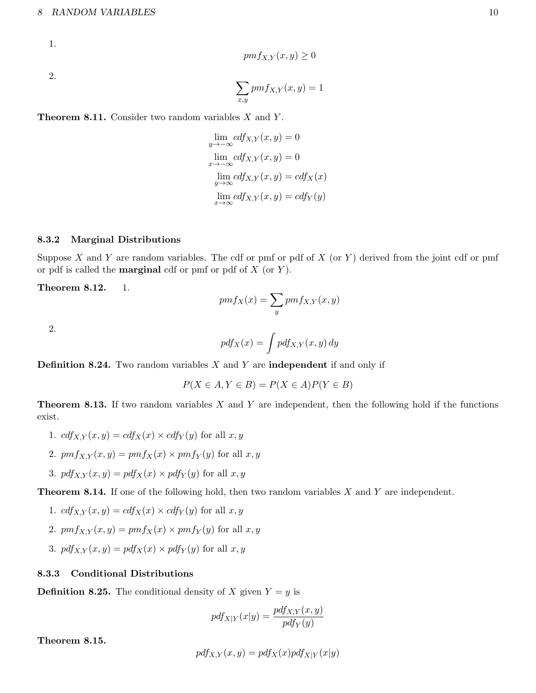### 8 RANDOM VARIABLES 10

1.

$$
pmf_{X,Y}(x,y) \ge 0
$$

2.

$$
\sum_{x,y} pmf_{X,Y}(x,y) = 1
$$

**Theorem 8.11.** Consider two random variables  $X$  and  $Y$ .

$$
\lim_{y \to -\infty} cdf_{X,Y}(x, y) = 0
$$
  
\n
$$
\lim_{x \to -\infty} cdf_{X,Y}(x, y) = 0
$$
  
\n
$$
\lim_{y \to \infty} cdf_{X,Y}(x, y) = cdf_X(x)
$$
  
\n
$$
\lim_{x \to \infty} cdf_{X,Y}(x, y) = cdf_Y(y)
$$

### <span id="page-9-0"></span>8.3.2 Marginal Distributions

Suppose X and Y are random variables. The cdf or pmf or pdf of  $X$  (or Y) derived from the joint cdf or pmf or pdf is called the **marginal** cdf or pmf or pdf of  $X$  (or  $Y$ ).

Theorem 8.12. 1.

$$
pmf_X(x) = \sum_{y} pmf_{X,Y}(x, y)
$$

2.

$$
pdf_X(x) = \int pdf_{X,Y}(x, y) dy
$$

**Definition 8.24.** Two random variables  $X$  and  $Y$  are **independent** if and only if

$$
P(X \in A, Y \in B) = P(X \in A)P(Y \in B)
$$

**Theorem 8.13.** If two random variables  $X$  and  $Y$  are independent, then the following hold if the functions exist.

- 1.  $cdf_{X,Y}(x, y) = cdf_X(x) \times cdf_Y(y)$  for all  $x, y$
- 2.  $pmf_{X,Y}(x, y) = pmf_X(x) \times pmf_Y(y)$  for all  $x, y$
- 3.  $pdf_{X,Y}(x, y) = pdf_X(x) \times pdf_Y(y)$  for all  $x, y$

**Theorem 8.14.** If one of the following hold, then two random variables  $X$  and  $Y$  are independent.

1. 
$$
cdf_{X,Y}(x,y) = cdf_X(x) \times cdf_Y(y)
$$
 for all  $x, y$ 

- 2.  $pmf_{X,Y}(x, y) = pmf_X(x) \times pmf_Y(y)$  for all  $x, y$
- 3.  $pdf_{X,Y}(x, y) = pdf_X(x) \times pdf_Y(y)$  for all  $x, y$

## <span id="page-9-1"></span>8.3.3 Conditional Distributions

**Definition 8.25.** The conditional density of X given  $Y = y$  is

$$
pdf_{X|Y}(x|y) = \frac{pdf_{X,Y}(x,y)}{pdf_Y(y)}
$$

Theorem 8.15.

$$
pdf_{X,Y}(x,y) = pdf_X(x)pdf_{X|Y}(x|y)
$$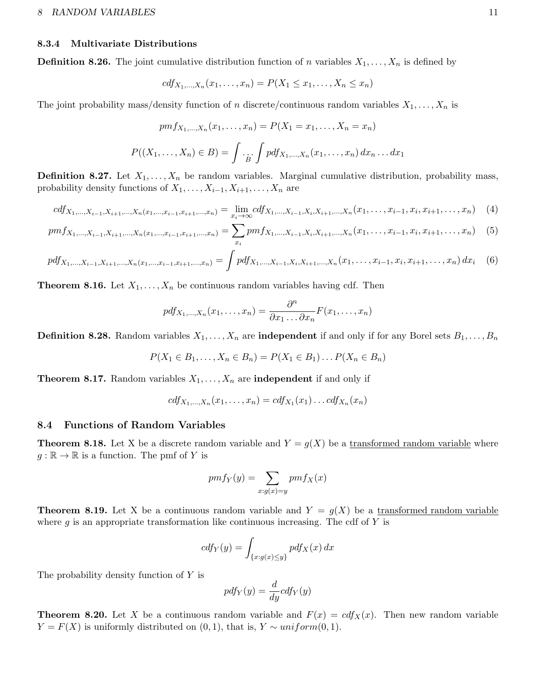### <span id="page-10-0"></span>8.3.4 Multivariate Distributions

**Definition 8.26.** The joint cumulative distribution function of n variables  $X_1, \ldots, X_n$  is defined by

$$
cdf_{X_1,...,X_n}(x_1,...,x_n) = P(X_1 \le x_1,...,X_n \le x_n)
$$

The joint probability mass/density function of n discrete/continuous random variables  $X_1, \ldots, X_n$  is

$$
pmf_{X_1,...,X_n}(x_1,...,x_n) = P(X_1 = x_1,...,X_n = x_n)
$$
  

$$
P((X_1,...,X_n) \in B) = \int \cdot_{\dot{B}} \cdot \int p df_{X_1,...,X_n}(x_1,...,x_n) dx_n...dx_1
$$

**Definition 8.27.** Let  $X_1, \ldots, X_n$  be random variables. Marginal cumulative distribution, probability mass, probability density functions of  $X_1, \ldots, X_{i-1}, X_{i+1}, \ldots, X_n$  are

$$
cdf_{X_1,\ldots,X_{i-1},X_{i+1},\ldots,X_n(x_1,\ldots,x_{i-1},x_{i+1},\ldots,x_n)} = \lim_{x_i \to \infty}cdf_{X_1,\ldots,X_{i-1},X_i,X_{i+1},\ldots,X_n}(x_1,\ldots,x_{i-1},x_i,x_{i+1},\ldots,x_n) \tag{4}
$$

$$
pmf_{X_1,\ldots,X_{i-1},X_{i+1},\ldots,X_n(x_1,\ldots,x_{i-1},x_{i+1},\ldots,x_n)} = \sum_{x_i} pmf_{X_1,\ldots,X_{i-1},X_i,X_{i+1},\ldots,X_n}(x_1,\ldots,x_{i-1},x_i,x_{i+1},\ldots,x_n)
$$
 (5)

$$
pdf_{X_1,...,X_{i-1},X_{i+1},...,X_n(x_1,...,x_{i-1},x_{i+1},...,x_n)} = \int pdf_{X_1,...,X_{i-1},X_i,X_{i+1},...,X_n}(x_1,...,x_{i-1},x_i,x_{i+1},...,x_n) dx_i \quad (6)
$$

**Theorem 8.16.** Let  $X_1, \ldots, X_n$  be continuous random variables having cdf. Then

$$
pdf_{X_1,\ldots,X_n}(x_1,\ldots,x_n) = \frac{\partial^n}{\partial x_1 \ldots \partial x_n} F(x_1,\ldots,x_n)
$$

**Definition 8.28.** Random variables  $X_1, \ldots, X_n$  are **independent** if and only if for any Borel sets  $B_1, \ldots, B_n$ 

$$
P(X_1 \in B_1, ..., X_n \in B_n) = P(X_1 \in B_1) ... P(X_n \in B_n)
$$

**Theorem 8.17.** Random variables  $X_1, \ldots, X_n$  are **independent** if and only if

$$
cdf_{X_1,...,X_n}(x_1,...,x_n) = cdf_{X_1}(x_1)...cdf_{X_n}(x_n)
$$

### <span id="page-10-1"></span>8.4 Functions of Random Variables

**Theorem 8.18.** Let X be a discrete random variable and  $Y = g(X)$  be a transformed random variable where  $g : \mathbb{R} \to \mathbb{R}$  is a function. The pmf of Y is

$$
pmf_Y(y) = \sum_{x:g(x)=y} pmf_X(x)
$$

**Theorem 8.19.** Let X be a continuous random variable and  $Y = g(X)$  be a transformed random variable where g is an appropriate transformation like continuous increasing. The cdf of Y is

$$
cdf_Y(y) = \int_{\{x:g(x) \le y\}} pdf_X(x) dx
$$

The probability density function of Y is

$$
pdf_Y(y) = \frac{d}{dy}cdf_Y(y)
$$

**Theorem 8.20.** Let X be a continuous random variable and  $F(x) = cdf_X(x)$ . Then new random variable  $Y = F(X)$  is uniformly distributed on  $(0, 1)$ , that is,  $Y \sim uniform(0, 1)$ .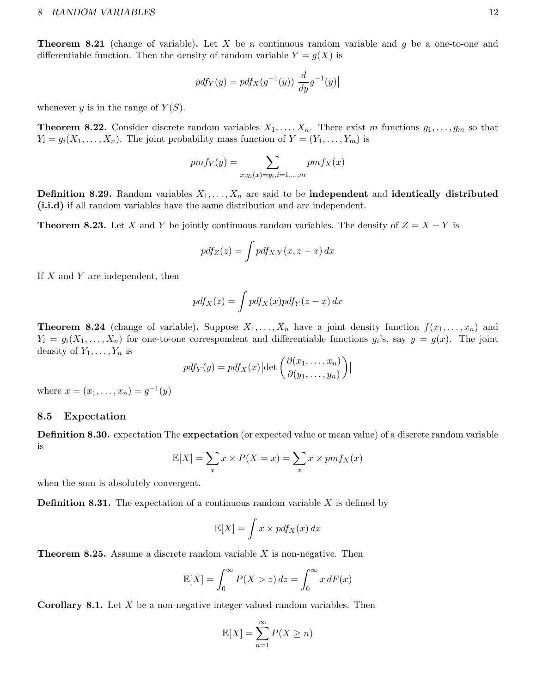### 8 RANDOM VARIABLES 12

**Theorem 8.21** (change of variable). Let X be a continuous random variable and  $q$  be a one-to-one and differentiable function. Then the density of random variable  $Y = g(X)$  is

$$
pdf_Y(y) = pdf_X(g^{-1}(y)) \left| \frac{d}{dy}g^{-1}(y) \right|
$$

whenever y is in the range of  $Y(S)$ .

**Theorem 8.22.** Consider discrete random variables  $X_1, \ldots, X_n$ . There exist m functions  $g_1, \ldots, g_m$  so that  $Y_i = g_i(X_1, \ldots, X_n)$ . The joint probability mass function of  $Y = (Y_1, \ldots, Y_m)$  is

$$
pmf_Y(y) = \sum_{x:g_i(x)=y_i,i=1,\dots,m} pmf_X(x)
$$

**Definition 8.29.** Random variables  $X_1, \ldots, X_n$  are said to be **independent** and **identically distributed** (i.i.d) if all random variables have the same distribution and are independent.

**Theorem 8.23.** Let X and Y be jointly continuous random variables. The density of  $Z = X + Y$  is

$$
pdf_Z(z) = \int pdf_{X,Y}(x, z - x) dx
$$

If  $X$  and  $Y$  are independent, then

$$
pdf_X(z) = \int pdf_X(x)pdf_Y(z - x) dx
$$

**Theorem 8.24** (change of variable). Suppose  $X_1, \ldots, X_n$  have a joint density function  $f(x_1, \ldots, x_n)$  and  $Y_i = g_i(X_1, \ldots, X_n)$  for one-to-one correspondent and differentiable functions  $g_i$ 's, say  $y = g(x)$ . The joint density of  $Y_1, \ldots, Y_n$  is

$$
pdf_Y(y) = pdf_X(x) | \det \left( \frac{\partial(x_1, \dots, x_n)}{\partial(y_1, \dots, y_n)} \right) |
$$

where  $x = (x_1, ..., x_n) = g^{-1}(y)$ 

# <span id="page-11-0"></span>8.5 Expectation

Definition 8.30. expectation The expectation (or expected value or mean value) of a discrete random variable is

$$
\mathbb{E}[X] = \sum_{x} x \times P(X = x) = \sum_{x} x \times pmf_X(x)
$$

when the sum is absolutely convergent.

**Definition 8.31.** The expectation of a continuous random variable  $X$  is defined by

$$
\mathbb{E}[X] = \int x \times pdf_X(x) \, dx
$$

**Theorem 8.25.** Assume a discrete random variable  $X$  is non-negative. Then

$$
\mathbb{E}[X] = \int_0^\infty P(X > z) dz = \int_0^\infty x dF(x)
$$

**Corollary 8.1.** Let  $X$  be a non-negative integer valued random variables. Then

$$
\mathbb{E}[X] = \sum_{n=1}^{\infty} P(X \ge n)
$$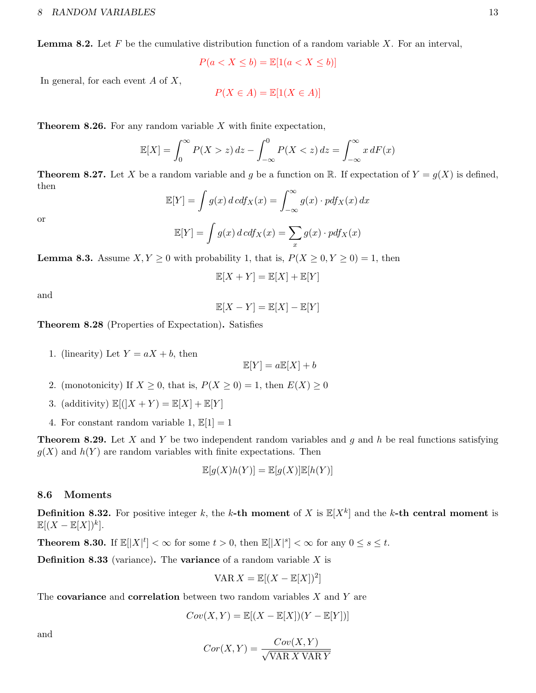**Lemma 8.2.** Let  $F$  be the cumulative distribution function of a random variable  $X$ . For an interval,

 $P(a < X \le b) = \mathbb{E}[1(a < X \le b)]$ 

In general, for each event  $A$  of  $X$ ,

$$
P(X \in A) = \mathbb{E}[1(X \in A)]
$$

**Theorem 8.26.** For any random variable  $X$  with finite expectation,

$$
\mathbb{E}[X] = \int_0^\infty P(X > z) dz - \int_{-\infty}^0 P(X < z) dz = \int_{-\infty}^\infty x dF(x)
$$

**Theorem 8.27.** Let X be a random variable and g be a function on R. If expectation of  $Y = g(X)$  is defined, then

$$
\mathbb{E}[Y] = \int g(x) d c df_X(x) = \int_{-\infty}^{\infty} g(x) \cdot p df_X(x) dx
$$

or

$$
\mathbb{E}[Y] = \int g(x) \, d\,c \, df_X(x) = \sum_x g(x) \cdot p \, df_X(x)
$$

**Lemma 8.3.** Assume  $X, Y \ge 0$  with probability 1, that is,  $P(X \ge 0, Y \ge 0) = 1$ , then

$$
\mathbb{E}[X+Y] = \mathbb{E}[X] + \mathbb{E}[Y]
$$

and

 $\mathbb{E}[X-Y] = \mathbb{E}[X] - \mathbb{E}[Y]$ 

Theorem 8.28 (Properties of Expectation). Satisfies

1. (linearity) Let  $Y = aX + b$ , then

$$
\mathbb{E}[Y] = a\mathbb{E}[X] + b
$$

- 2. (monotonicity) If  $X \geq 0$ , that is,  $P(X \geq 0) = 1$ , then  $E(X) \geq 0$
- 3. (additivity)  $\mathbb{E}[(X+Y) = \mathbb{E}[X] + \mathbb{E}[Y]$
- 4. For constant random variable 1,  $\mathbb{E}[1] = 1$

**Theorem 8.29.** Let X and Y be two independent random variables and g and h be real functions satisfying  $g(X)$  and  $h(Y)$  are random variables with finite expectations. Then

$$
\mathbb{E}[g(X)h(Y)] = \mathbb{E}[g(X)]\mathbb{E}[h(Y)]
$$

### <span id="page-12-0"></span>8.6 Moments

**Definition 8.32.** For positive integer k, the k-th moment of X is  $\mathbb{E}[X^k]$  and the k-th central moment is  $\mathbb{E}[(X-\mathbb{E}[X])^k].$ 

**Theorem 8.30.** If  $\mathbb{E}[|X|^t] < \infty$  for some  $t > 0$ , then  $\mathbb{E}[|X|^s] < \infty$  for any  $0 \le s \le t$ .

**Definition 8.33** (variance). The **variance** of a random variable  $X$  is

$$
\text{VAR } X = \mathbb{E}[(X - \mathbb{E}[X])^2]
$$

The covariance and correlation between two random variables  $X$  and  $Y$  are

$$
Cov(X,Y) = \mathbb{E}[(X - \mathbb{E}[X])(Y - \mathbb{E}[Y])]
$$

and

$$
Cor(X, Y) = \frac{Cov(X, Y)}{\sqrt{\text{VAR } X \text{ VAR } Y}}
$$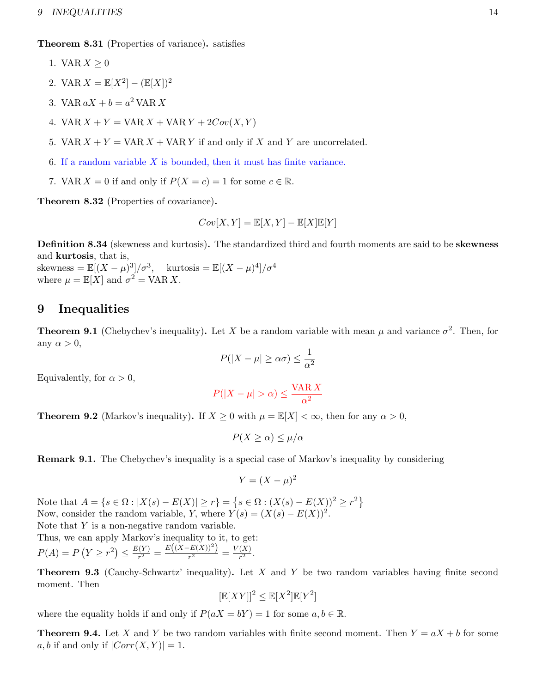Theorem 8.31 (Properties of variance). satisfies

- 1. VAR  $X \geq 0$
- 2. VAR  $X = \mathbb{E}[X^2] (\mathbb{E}[X])^2$
- 3. VAR  $aX + b = a^2$  VAR X
- 4. VAR  $X + Y = \text{VAR } X + \text{VAR } Y + 2Cov(X, Y)$
- 5. VAR  $X + Y = \text{VAR } X + \text{VAR } Y$  if and only if X and Y are uncorrelated.
- 6. If a random variable  $X$  is bounded, then it must has finite variance.
- 7. VAR  $X = 0$  if and only if  $P(X = c) = 1$  for some  $c \in \mathbb{R}$ .

Theorem 8.32 (Properties of covariance).

$$
Cov[X, Y] = \mathbb{E}[X, Y] - \mathbb{E}[X]\mathbb{E}[Y]
$$

Definition 8.34 (skewness and kurtosis). The standardized third and fourth moments are said to be skewness and kurtosis, that is,

skewness =  $\mathbb{E}[(X-\mu)^3]/\sigma^3$ , kurtosis =  $\mathbb{E}[(X-\mu)^4]/\sigma^4$ where  $\mu = \mathbb{E}[X]$  and  $\sigma^2 = \text{VAR } X$ .

# <span id="page-13-0"></span>9 Inequalities

**Theorem 9.1** (Chebychev's inequality). Let X be a random variable with mean  $\mu$  and variance  $\sigma^2$ . Then, for any  $\alpha > 0$ ,

$$
P(|X - \mu| \ge \alpha \sigma) \le \frac{1}{\alpha^2}
$$

Equivalently, for  $\alpha > 0$ ,

$$
P(|X - \mu| > \alpha) \le \frac{\text{VAR } X}{\alpha^2}
$$

**Theorem 9.2** (Markov's inequality). If  $X \geq 0$  with  $\mu = \mathbb{E}[X] < \infty$ , then for any  $\alpha > 0$ ,

$$
P(X \ge \alpha) \le \mu/\alpha
$$

Remark 9.1. The Chebychev's inequality is a special case of Markov's inequality by considering

$$
Y = (X - \mu)^2
$$

Note that  $A = \{s \in \Omega : |X(s) - E(X)| \ge r\} = \{s \in \Omega : (X(s) - E(X))^2 \ge r^2\}$ Now, consider the random variable, Y, where  $Y(s) = (X(s) - E(X))^2$ . Note that  $Y$  is a non-negative random variable.

Thus, we can apply Markov's inequality to it, to get:  $P(A) = P(Y \geq r^2) \leq \frac{E(Y)}{r^2}$  $\frac{F(Y)}{r^2} = \frac{E((X-E(X))^2)}{r^2}$  $\frac{F(X)^2}{r^2} = \frac{V(X)}{r^2}$  $\frac{(\Lambda)}{r^2}$ .

**Theorem 9.3** (Cauchy-Schwartz' inequality). Let X and Y be two random variables having finite second moment. Then

$$
[\mathbb{E}[XY]]^2 \leq \mathbb{E}[X^2]\mathbb{E}[Y^2]
$$

where the equality holds if and only if  $P(aX = bY) = 1$  for some  $a, b \in \mathbb{R}$ .

**Theorem 9.4.** Let X and Y be two random variables with finite second moment. Then  $Y = aX + b$  for some a, b if and only if  $|Corr(X, Y)| = 1$ .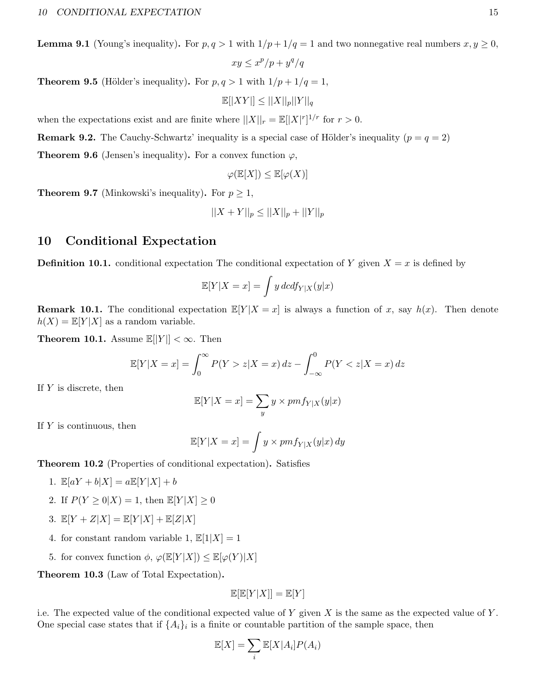**Lemma 9.1** (Young's inequality). For  $p, q > 1$  with  $1/p + 1/q = 1$  and two nonnegative real numbers  $x, y \ge 0$ ,

$$
xy \leq x^p/p + y^q/q
$$

**Theorem 9.5** (Hölder's inequality). For  $p, q > 1$  with  $1/p + 1/q = 1$ ,

$$
\mathbb{E}[|XY|] \le ||X||_p||Y||_q
$$

when the expectations exist and are finite where  $||X||_r = \mathbb{E}[|X|^r]^{1/r}$  for  $r > 0$ .

**Remark 9.2.** The Cauchy-Schwartz' inequality is a special case of Hölder's inequality ( $p = q = 2$ )

**Theorem 9.6** (Jensen's inequality). For a convex function  $\varphi$ ,

$$
\varphi(\mathbb{E}[X]) \le \mathbb{E}[\varphi(X)]
$$

**Theorem 9.7** (Minkowski's inequality). For  $p \geq 1$ ,

$$
||X + Y||_p \le ||X||_p + ||Y||_p
$$

# <span id="page-14-0"></span>10 Conditional Expectation

**Definition 10.1.** conditional expectation The conditional expectation of Y given  $X = x$  is defined by

$$
\mathbb{E}[Y|X=x] = \int y \, d\mathbf{c} \, df_{Y|X}(y|x)
$$

**Remark 10.1.** The conditional expectation  $\mathbb{E}[Y|X=x]$  is always a function of x, say  $h(x)$ . Then denote  $h(X) = \mathbb{E}[Y|X]$  as a random variable.

**Theorem 10.1.** Assume  $\mathbb{E}[|Y|] < \infty$ . Then

$$
\mathbb{E}[Y|X = x] = \int_0^\infty P(Y > z|X = x) \, dz - \int_{-\infty}^0 P(Y < z|X = x) \, dz
$$

If  $Y$  is discrete, then

$$
\mathbb{E}[Y|X=x] = \sum_{y} y \times pmf_{Y|X}(y|x)
$$

If  $Y$  is continuous, then

$$
\mathbb{E}[Y|X=x] = \int y \times pmf_{Y|X}(y|x) \, dy
$$

Theorem 10.2 (Properties of conditional expectation). Satisfies

- 1.  $\mathbb{E}[aY + b|X] = a\mathbb{E}[Y|X] + b$
- 2. If  $P(Y \geq 0|X) = 1$ , then  $\mathbb{E}[Y|X] \geq 0$
- 3.  $\mathbb{E}[Y+Z|X] = \mathbb{E}[Y|X] + \mathbb{E}[Z|X]$
- 4. for constant random variable 1,  $\mathbb{E}[1|X] = 1$
- 5. for convex function  $\phi$ ,  $\varphi(\mathbb{E}[Y|X]) \leq \mathbb{E}[\varphi(Y)|X]$

Theorem 10.3 (Law of Total Expectation).

$$
\mathbb{E}[\mathbb{E}[Y|X]]=\mathbb{E}[Y]
$$

i.e. The expected value of the conditional expected value of Y given X is the same as the expected value of Y. One special case states that if  $\{A_i\}_i$  is a finite or countable partition of the sample space, then

$$
\mathbb{E}[X] = \sum_{i} \mathbb{E}[X|A_i] P(A_i)
$$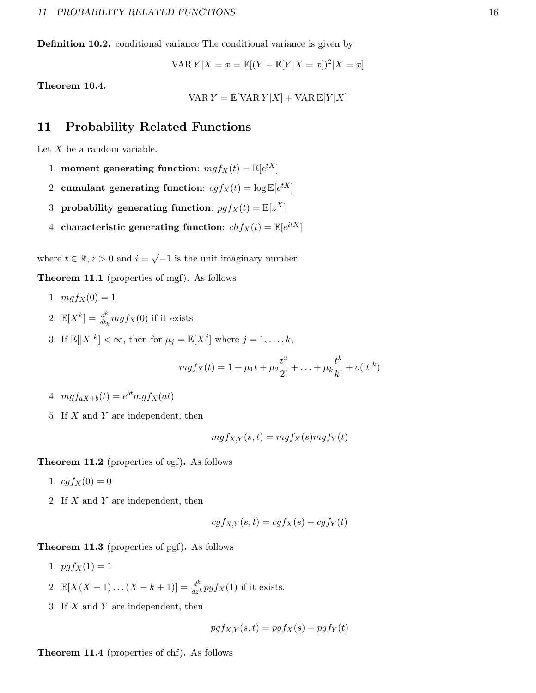Definition 10.2. conditional variance The conditional variance is given by

VAR 
$$
Y|X = x = \mathbb{E}[(Y - \mathbb{E}[Y|X = x])^2|X = x]
$$

Theorem 10.4.

$$
\text{VAR } Y = \mathbb{E}[\text{VAR } Y | X] + \text{VAR } \mathbb{E}[Y | X]
$$

# <span id="page-15-0"></span>11 Probability Related Functions

Let  $X$  be a random variable.

- 1. moment generating function:  $mgf_X(t) = \mathbb{E}[e^{tX}]$
- 2. cumulant generating function:  $cgf_X(t) = \log \mathbb{E}[e^{tX}]$
- 3. probability generating function:  $pgf_X(t) = \mathbb{E}[z^X]$
- 4. characteristic generating function:  $chf_X(t) = \mathbb{E}[e^{itX}]$

where  $t \in \mathbb{R}, z > 0$  and  $i = \sqrt{ }$  $\overline{-1}$  is the unit imaginary number.

Theorem 11.1 (properties of mgf). As follows

- 1.  $mgf_X(0) = 1$
- 2.  $\mathbb{E}[X^k] = \frac{d^k}{dt}$  $\frac{d^{n}}{dt_{k}}mgf_{X}(0)$  if it exists
- 3. If  $\mathbb{E}[|X|^k] < \infty$ , then for  $\mu_j = \mathbb{E}[X^j]$  where  $j = 1, \ldots, k$ ,

$$
mgf_X(t) = 1 + \mu_1 t + \mu_2 \frac{t^2}{2!} + \ldots + \mu_k \frac{t^k}{k!} + o(|t|^k)
$$

- 4.  $mgf_{aX+b}(t) = e^{bt}mgf_X(at)$
- 5. If  $X$  and  $Y$  are independent, then

$$
mgf_{X,Y}(s,t) = mgf_X(s)mgf_Y(t)
$$

Theorem 11.2 (properties of cgf). As follows

- 1.  $cgf_X(0) = 0$
- 2. If X and Y are independent, then

$$
cgf_{X,Y}(s,t) = cgf_X(s) + cgf_Y(t)
$$

Theorem 11.3 (properties of pgf). As follows

- 1.  $pgf_X(1) = 1$
- 2.  $\mathbb{E}[X(X-1)...(X-k+1)] = \frac{d^k}{dz^k} pgf_X(1)$  if it exists.
- 3. If X and Y are independent, then

$$
pgf_{X,Y}(s,t) = pgf_X(s) + pgf_Y(t)
$$

Theorem 11.4 (properties of chf). As follows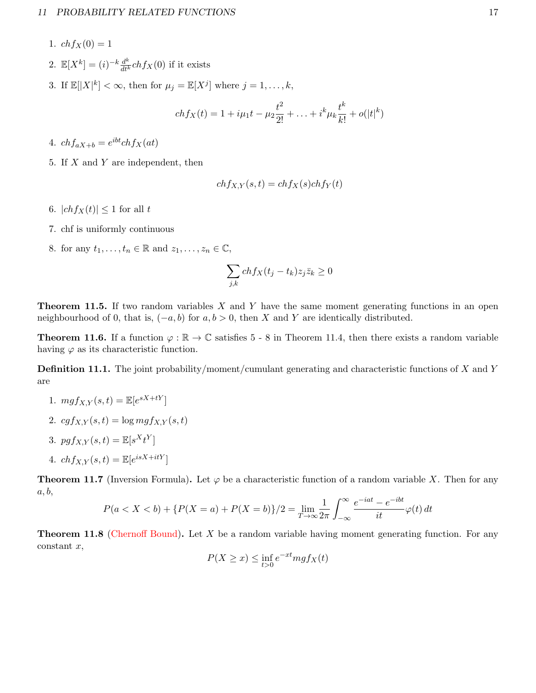- 1.  $chfx(0) = 1$
- 2.  $\mathbb{E}[X^k] = (i)^{-k} \frac{d^k}{dt^k} ch f_X(0)$  if it exists
- 3. If  $\mathbb{E}[|X|^k] < \infty$ , then for  $\mu_j = \mathbb{E}[X^j]$  where  $j = 1, \ldots, k$ ,

$$
ch f_X(t) = 1 + i\mu_1 t - \mu_2 \frac{t^2}{2!} + \ldots + i^k \mu_k \frac{t^k}{k!} + o(|t|^k)
$$

4.  $chf_{aX+b} = e^{ibt}chf_X(at)$ 

5. If  $X$  and  $Y$  are independent, then

$$
ch f_{X,Y}(s,t) = ch f_X(s) ch f_Y(t)
$$

- 6.  $|chf_X(t)| \leq 1$  for all t
- 7. chf is uniformly continuous
- 8. for any  $t_1, \ldots, t_n \in \mathbb{R}$  and  $z_1, \ldots, z_n \in \mathbb{C}$ ,

$$
\sum_{j,k} ch f_X(t_j - t_k) z_j \bar{z}_k \ge 0
$$

**Theorem 11.5.** If two random variables  $X$  and  $Y$  have the same moment generating functions in an open neighbourhood of 0, that is,  $(-a, b)$  for  $a, b > 0$ , then X and Y are identically distributed.

**Theorem 11.6.** If a function  $\varphi : \mathbb{R} \to \mathbb{C}$  satisfies 5 - 8 in Theorem 11.4, then there exists a random variable having  $\varphi$  as its characteristic function.

**Definition 11.1.** The joint probability/moment/cumulant generating and characteristic functions of X and Y are

- 1.  $mgf_{X,Y}(s,t) = \mathbb{E}[e^{sX+tY}]$
- 2.  $cgf_{X,Y}(s,t) = \log mgf_{X,Y}(s,t)$
- 3.  $pgf_{X,Y}(s,t) = \mathbb{E}[s^Xt^Y]$
- 4.  $chf_{X,Y}(s,t) = \mathbb{E}[e^{isX+itY}]$

**Theorem 11.7** (Inversion Formula). Let  $\varphi$  be a characteristic function of a random variable X. Then for any  $a, b,$ 

$$
P(a < X < b) + \{P(X = a) + P(X = b)\}/2 = \lim_{T \to \infty} \frac{1}{2\pi} \int_{-\infty}^{\infty} \frac{e^{-iat} - e^{-ibt}}{it} \varphi(t) dt
$$

**Theorem 11.8** (Chernoff Bound). Let X be a random variable having moment generating function. For any  $constant x,$ 

$$
P(X \ge x) \le \inf_{t > 0} e^{-xt} m g f_X(t)
$$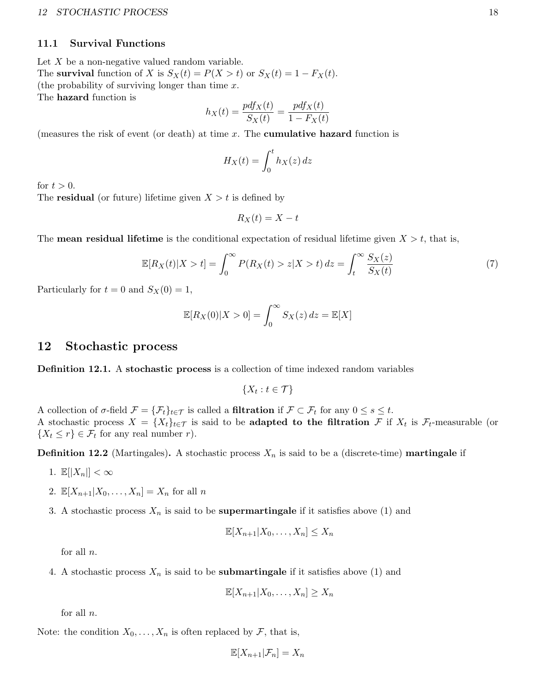### 12 STOCHASTIC PROCESS 18

# <span id="page-17-0"></span>11.1 Survival Functions

Let  $X$  be a non-negative valued random variable. The survival function of X is  $S_X(t) = P(X > t)$  or  $S_X(t) = 1 - F_X(t)$ . (the probability of surviving longer than time  $x$ . The hazard function is

$$
h_X(t) = \frac{pdf_X(t)}{S_X(t)} = \frac{pdf_X(t)}{1 - F_X(t)}
$$

(measures the risk of event (or death) at time  $x$ . The **cumulative hazard** function is

$$
H_X(t) = \int_0^t h_X(z) \, dz
$$

for  $t > 0$ .

The **residual** (or future) lifetime given  $X > t$  is defined by

$$
R_X(t) = X - t
$$

The **mean residual lifetime** is the conditional expectation of residual lifetime given  $X > t$ , that is,

$$
\mathbb{E}[R_X(t)|X>t] = \int_0^\infty P(R_X(t) > z|X>t) \, dz = \int_t^\infty \frac{S_X(z)}{S_X(t)} \tag{7}
$$

Particularly for  $t = 0$  and  $S_X(0) = 1$ ,

$$
\mathbb{E}[R_X(0)|X>0] = \int_0^\infty S_X(z) dz = \mathbb{E}[X]
$$

# <span id="page-17-1"></span>12 Stochastic process

**Definition 12.1.** A stochastic process is a collection of time indexed random variables

 $\{X_t : t \in \mathcal{T}\}\$ 

A collection of  $\sigma$ -field  $\mathcal{F} = {\{\mathcal{F}_t\}}_{t \in \mathcal{T}}$  is called a **filtration** if  $\mathcal{F} \subset \mathcal{F}_t$  for any  $0 \le s \le t$ . A stochastic process  $X = \{X_t\}_{t\in\mathcal{T}}$  is said to be **adapted to the filtration** F if  $X_t$  is  $\mathcal{F}_t$ -measurable (or  $\{X_t \leq r\} \in \mathcal{F}_t$  for any real number r).

**Definition 12.2** (Martingales). A stochastic process  $X_n$  is said to be a (discrete-time) **martingale** if

- 1.  $\mathbb{E}[|X_n|]<\infty$
- 2.  $\mathbb{E}[X_{n+1}|X_0,\ldots,X_n] = X_n$  for all n
- 3. A stochastic process  $X_n$  is said to be **supermartingale** if it satisfies above (1) and

$$
\mathbb{E}[X_{n+1}|X_0,\ldots,X_n] \leq X_n
$$

for all n.

4. A stochastic process  $X_n$  is said to be **submartingale** if it satisfies above (1) and

$$
\mathbb{E}[X_{n+1}|X_0,\ldots,X_n]\geq X_n
$$

for all  $n$ .

Note: the condition  $X_0, \ldots, X_n$  is often replaced by F, that is,

$$
\mathbb{E}[X_{n+1}|\mathcal{F}_n] = X_n
$$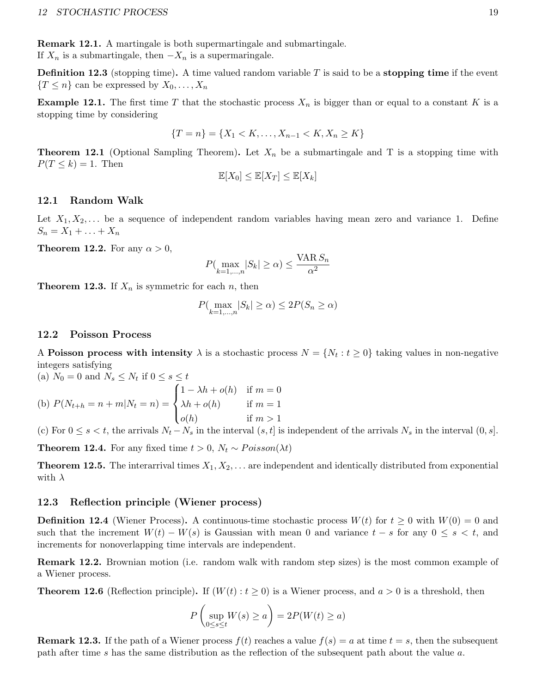Remark 12.1. A martingale is both supermartingale and submartingale. If  $X_n$  is a submartingale, then  $-X_n$  is a supermaringale.

**Definition 12.3** (stopping time). A time valued random variable  $T$  is said to be a stopping time if the event  ${T \leq n}$  can be expressed by  $X_0, \ldots, X_n$ 

**Example 12.1.** The first time T that the stochastic process  $X_n$  is bigger than or equal to a constant K is a stopping time by considering

$$
\{T = n\} = \{X_1 < K, \dots, X_{n-1} < K, X_n \ge K\}
$$

**Theorem 12.1** (Optional Sampling Theorem). Let  $X_n$  be a submartingale and T is a stopping time with  $P(T \leq k) = 1$ . Then

$$
\mathbb{E}[X_0] \le \mathbb{E}[X_T] \le \mathbb{E}[X_k]
$$

### <span id="page-18-0"></span>12.1 Random Walk

Let  $X_1, X_2, \ldots$  be a sequence of independent random variables having mean zero and variance 1. Define  $S_n = X_1 + ... + X_n$ 

**Theorem 12.2.** For any  $\alpha > 0$ ,

$$
P(\max_{k=1,\ldots,n} |S_k| \ge \alpha) \le \frac{\text{VAR } S_n}{\alpha^2}
$$

**Theorem 12.3.** If  $X_n$  is symmetric for each n, then

$$
P(\max_{k=1,\dots,n}|S_k| \ge \alpha) \le 2P(S_n \ge \alpha)
$$

### <span id="page-18-1"></span>12.2 Poisson Process

A Poisson process with intensity  $\lambda$  is a stochastic process  $N = \{N_t : t \geq 0\}$  taking values in non-negative integers satisfying

(a) 
$$
N_0 = 0
$$
 and  $N_s \le N_t$  if  $0 \le s \le t$   
\n(b)  $P(N_{t+h} = n + m | N_t = n) = \begin{cases} 1 - \lambda h + o(h) & \text{if } m = 0 \\ \lambda h + o(h) & \text{if } m = 1 \\ o(h) & \text{if } m > 1 \end{cases}$ 

(c) For  $0 \le s < t$ , the arrivals  $N_t - N_s$  in the interval  $(s, t]$  is independent of the arrivals  $N_s$  in the interval  $(0, s]$ .

**Theorem 12.4.** For any fixed time  $t > 0$ ,  $N_t \sim Poisson(\lambda t)$ 

**Theorem 12.5.** The interarrival times  $X_1, X_2, \ldots$  are independent and identically distributed from exponential with  $\lambda$ 

# <span id="page-18-2"></span>12.3 Reflection principle (Wiener process)

**Definition 12.4** (Wiener Process). A continuous-time stochastic process  $W(t)$  for  $t \geq 0$  with  $W(0) = 0$  and such that the increment  $W(t) - W(s)$  is Gaussian with mean 0 and variance  $t - s$  for any  $0 \le s < t$ , and increments for nonoverlapping time intervals are independent.

Remark 12.2. Brownian motion (i.e. random walk with random step sizes) is the most common example of a Wiener process.

**Theorem 12.6** (Reflection principle). If  $(W(t): t \ge 0)$  is a Wiener process, and  $a > 0$  is a threshold, then

$$
P\left(\sup_{0\leq s\leq t} W(s) \geq a\right) = 2P(W(t) \geq a)
$$

**Remark 12.3.** If the path of a Wiener process  $f(t)$  reaches a value  $f(s) = a$  at time  $t = s$ , then the subsequent path after time s has the same distribution as the reflection of the subsequent path about the value a.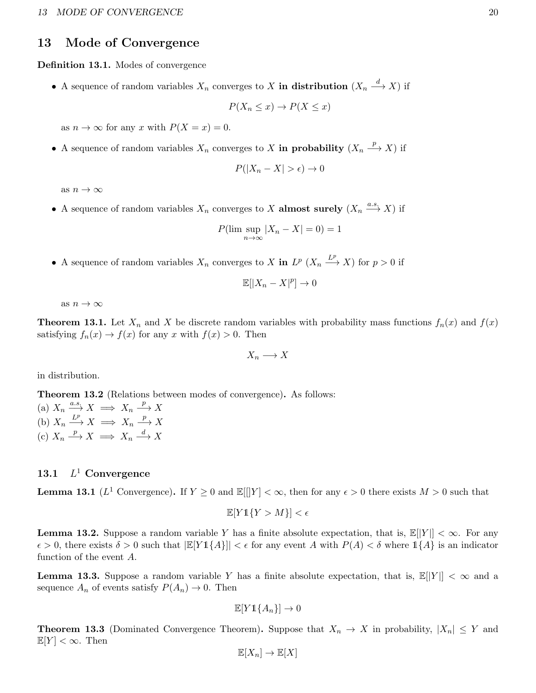# <span id="page-19-0"></span>13 Mode of Convergence

Definition 13.1. Modes of convergence

• A sequence of random variables  $X_n$  converges to X in distribution  $(X_n \stackrel{d}{\longrightarrow} X)$  if

$$
P(X_n \le x) \to P(X \le x)
$$

as  $n \to \infty$  for any x with  $P(X = x) = 0$ .

• A sequence of random variables  $X_n$  converges to X in probability  $(X_n \xrightarrow{p} X)$  if

$$
P(|X_n - X| > \epsilon) \to 0
$$

as  $n \to \infty$ 

• A sequence of random variables  $X_n$  converges to X almost surely  $(X_n \xrightarrow{a.s} X)$  if

$$
P(\limsup_{n \to \infty} |X_n - X| = 0) = 1
$$

• A sequence of random variables  $X_n$  converges to X in  $L^p(X_n \xrightarrow{L^p} X)$  for  $p > 0$  if

$$
\mathbb{E}[|X_n - X|^p] \to 0
$$

as  $n \to \infty$ 

**Theorem 13.1.** Let  $X_n$  and X be discrete random variables with probability mass functions  $f_n(x)$  and  $f(x)$ satisfying  $f_n(x) \to f(x)$  for any x with  $f(x) > 0$ . Then

$$
X_n \longrightarrow X
$$

in distribution.

Theorem 13.2 (Relations between modes of convergence). As follows:

(a)  $X_n \xrightarrow{a.s.} X \implies X_n \xrightarrow{p} X$ (b)  $X_n \xrightarrow{L^p} X \implies X_n \xrightarrow{p} X$ (c)  $X_n \xrightarrow{p} X \implies X_n \xrightarrow{d} X$ 

#### <span id="page-19-1"></span>13.1  $L^1$  Convergence

**Lemma 13.1** ( $L^1$  Convergence). If  $Y \ge 0$  and  $\mathbb{E}[\|Y| < \infty$ , then for any  $\epsilon > 0$  there exists  $M > 0$  such that

$$
\mathbb{E}[Y1\{Y > M\}] < \epsilon
$$

**Lemma 13.2.** Suppose a random variable Y has a finite absolute expectation, that is,  $\mathbb{E}[|Y|] < \infty$ . For any  $\epsilon > 0$ , there exists  $\delta > 0$  such that  $\mathbb{E}[Y \mathbb{1}{A}] < \epsilon$  for any event A with  $P(A) < \delta$  where  $\mathbb{1}{A}$  is an indicator function of the event A.

**Lemma 13.3.** Suppose a random variable Y has a finite absolute expectation, that is,  $\mathbb{E}[|Y|] < \infty$  and a sequence  $A_n$  of events satisfy  $P(A_n) \to 0$ . Then

$$
\mathbb{E}[Y1\{A_n\}] \to 0
$$

**Theorem 13.3** (Dominated Convergence Theorem). Suppose that  $X_n \to X$  in probability,  $|X_n| \leq Y$  and  $\mathbb{E}[Y] < \infty$ . Then

$$
\mathbb{E}[X_n] \to \mathbb{E}[X]
$$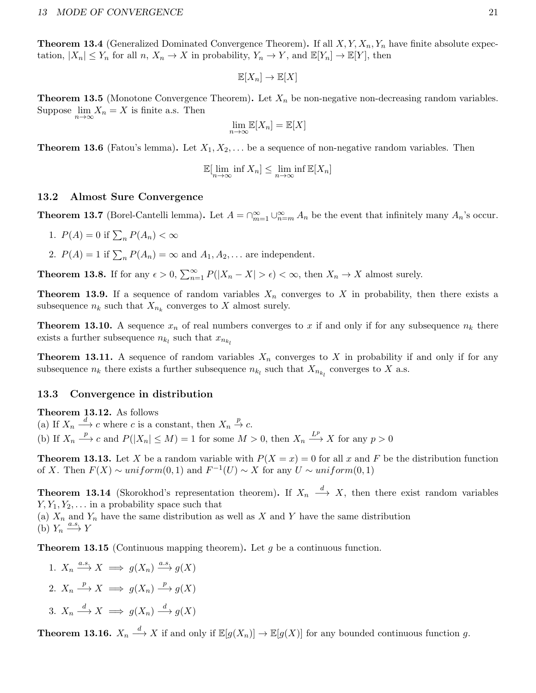**Theorem 13.4** (Generalized Dominated Convergence Theorem). If all  $X, Y, X_n, Y_n$  have finite absolute expectation,  $|X_n| \leq Y_n$  for all  $n, X_n \to X$  in probability,  $Y_n \to Y$ , and  $\mathbb{E}[Y_n] \to \mathbb{E}[Y]$ , then

$$
\mathbb{E}[X_n] \to \mathbb{E}[X]
$$

**Theorem 13.5** (Monotone Convergence Theorem). Let  $X_n$  be non-negative non-decreasing random variables. Suppose  $\lim_{n\to\infty}X_n=X$  is finite a.s. Then

$$
\lim_{n \to \infty} \mathbb{E}[X_n] = \mathbb{E}[X]
$$

**Theorem 13.6** (Fatou's lemma). Let  $X_1, X_2, \ldots$  be a sequence of non-negative random variables. Then

$$
\mathbb{E}[\lim_{n \to \infty} \inf X_n] \le \lim_{n \to \infty} \inf \mathbb{E}[X_n]
$$

# <span id="page-20-0"></span>13.2 Almost Sure Convergence

**Theorem 13.7** (Borel-Cantelli lemma). Let  $A = \bigcap_{m=1}^{\infty} \bigcup_{n=m}^{\infty} A_n$  be the event that infinitely many  $A_n$ 's occur.

- 1.  $P(A) = 0$  if  $\sum_n P(A_n) < \infty$
- 2.  $P(A) = 1$  if  $\sum_n P(A_n) = \infty$  and  $A_1, A_2, \dots$  are independent.

**Theorem 13.8.** If for any  $\epsilon > 0$ ,  $\sum_{n=1}^{\infty} P(|X_n - X| > \epsilon) < \infty$ , then  $X_n \to X$  almost surely.

**Theorem 13.9.** If a sequence of random variables  $X_n$  converges to X in probability, then there exists a subsequence  $n_k$  such that  $X_{n_k}$  converges to X almost surely.

**Theorem 13.10.** A sequence  $x_n$  of real numbers converges to x if and only if for any subsequence  $n_k$  there exists a further subsequence  $n_{k_l}$  such that  $x_{n_{k_l}}$ 

**Theorem 13.11.** A sequence of random variables  $X_n$  converges to X in probability if and only if for any subsequence  $n_k$  there exists a further subsequence  $n_{k_l}$  such that  $X_{n_{k_l}}$  converges to X a.s.

### <span id="page-20-1"></span>13.3 Convergence in distribution

Theorem 13.12. As follows

(a) If  $X_n \xrightarrow{d} c$  where c is a constant, then  $X_n \xrightarrow{p} c$ . (b) If  $X_n \longrightarrow^p c$  and  $P(|X_n| \leq M) = 1$  for some  $M > 0$ , then  $X_n \longrightarrow^{\text{L}^p} X$  for any  $p > 0$ 

**Theorem 13.13.** Let X be a random variable with  $P(X = x) = 0$  for all x and F be the distribution function of X. Then  $F(X) \sim uniform(0, 1)$  and  $F^{-1}(U) \sim X$  for any  $U \sim uniform(0, 1)$ 

**Theorem 13.14** (Skorokhod's representation theorem). If  $X_n \stackrel{d}{\longrightarrow} X$ , then there exist random variables  $Y, Y_1, Y_2, \ldots$  in a probability space such that (a)  $X_n$  and  $Y_n$  have the same distribution as well as X and Y have the same distribution

(b)  $Y_n \xrightarrow{a.s} Y$ 

**Theorem 13.15** (Continuous mapping theorem). Let  $g$  be a continuous function.

1.  $X_n \xrightarrow{a.s} X \implies g(X_n) \xrightarrow{a.s} g(X)$ 2.  $X_n \xrightarrow{p} X \implies g(X_n) \xrightarrow{p} g(X)$ 3.  $X_n \xrightarrow{d} X \implies g(X_n) \xrightarrow{d} g(X)$ 

**Theorem 13.16.**  $X_n \stackrel{d}{\longrightarrow} X$  if and only if  $\mathbb{E}[g(X_n)] \to \mathbb{E}[g(X)]$  for any bounded continuous function g.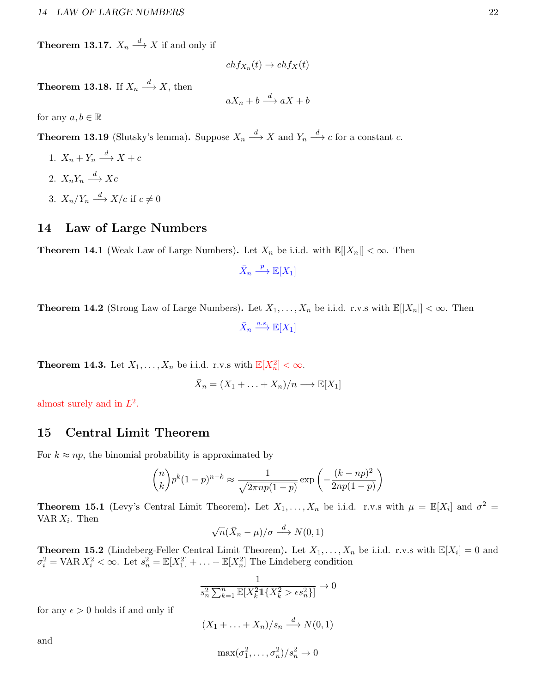**Theorem 13.17.**  $X_n \stackrel{d}{\longrightarrow} X$  if and only if

$$
ch f_{X_n}(t) \to ch f_X(t)
$$

**Theorem 13.18.** If  $X_n \stackrel{d}{\longrightarrow} X$ , then

 $aX_n + b \xrightarrow{d} aX + b$ 

for any  $a, b \in \mathbb{R}$ 

**Theorem 13.19** (Slutsky's lemma). Suppose  $X_n \stackrel{d}{\longrightarrow} X$  and  $Y_n \stackrel{d}{\longrightarrow} c$  for a constant c.

- 1.  $X_n + Y_n \xrightarrow{d} X + c$ 2.  $X_n Y_n \xrightarrow{d} Xc$
- 3.  $X_n/Y_n \stackrel{d}{\longrightarrow} X/c$  if  $c \neq 0$

# <span id="page-21-0"></span>14 Law of Large Numbers

**Theorem 14.1** (Weak Law of Large Numbers). Let  $X_n$  be i.i.d. with  $\mathbb{E}[|X_n|] < \infty$ . Then

 $\bar{X}_n$  $\stackrel{p}{\longrightarrow} \mathbb{E}[X_1]$ 

**Theorem 14.2** (Strong Law of Large Numbers). Let  $X_1, \ldots, X_n$  be i.i.d. r.v.s with  $\mathbb{E}[|X_n|] < \infty$ . Then  $\bar{X}_n \stackrel{a.s.}{\longrightarrow} \mathbb{E}[X_1]$ 

**Theorem 14.3.** Let  $X_1, \ldots, X_n$  be i.i.d. r.v.s with  $\mathbb{E}[X_n^2] < \infty$ .

$$
\bar{X}_n = (X_1 + \ldots + X_n)/n \longrightarrow \mathbb{E}[X_1]
$$

almost surely and in  $L^2$ .

# <span id="page-21-1"></span>15 Central Limit Theorem

For  $k \approx np$ , the binomial probability is approximated by

$$
\binom{n}{k} p^k (1-p)^{n-k} \approx \frac{1}{\sqrt{2\pi np(1-p)}} \exp\left(-\frac{(k-np)^2}{2np(1-p)}\right)
$$

**Theorem 15.1** (Levy's Central Limit Theorem). Let  $X_1, \ldots, X_n$  be i.i.d. r.v.s with  $\mu = \mathbb{E}[X_i]$  and  $\sigma^2 =$  $VAR X_i$ . Then √

$$
\sqrt{n}(\bar{X}_n - \mu)/\sigma \stackrel{d}{\longrightarrow} N(0, 1)
$$

**Theorem 15.2** (Lindeberg-Feller Central Limit Theorem). Let  $X_1, \ldots, X_n$  be i.i.d. r.v.s with  $\mathbb{E}[X_i] = 0$  and  $\sigma_i^2 = \text{VAR } X_i^2 < \infty$ . Let  $s_n^2 = \mathbb{E}[X_1^2] + \ldots + \mathbb{E}[X_n^2]$  The Lindeberg condition

$$
\frac{1}{s_n^2 \sum_{k=1}^n \mathbb{E}[X_k^2 \mathbb{1}\{X_k^2 > \epsilon s_n^2\}]} \to 0
$$

for any  $\epsilon > 0$  holds if and only if

$$
(X_1 + \ldots + X_n)/s_n \xrightarrow{d} N(0,1)
$$

and

$$
\max(\sigma_1^2,\ldots,\sigma_n^2)/s_n^2\to 0
$$